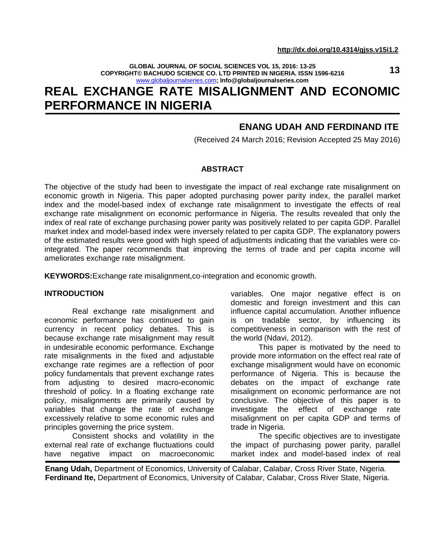**13**

**GLOBAL JOURNAL OF SOCIAL SCIENCES VOL 15, 2016: 13-25 COPYRIGHT© BACHUDO SCIENCE CO. LTD PRINTED IN NIGERIA. ISSN 1596-6216** www.globaljournalseries.com**; Info@globaljournalseries.com**

# **REAL EXCHANGE RATE MISALIGNMENT AND ECONOMIC PERFORMANCE IN NIGERIA**

# **ENANG UDAH AND FERDINAND ITE**

(Received 24 March 2016; Revision Accepted 25 May 2016)

#### **ABSTRACT**

The objective of the study had been to investigate the impact of real exchange rate misalignment on economic growth in Nigeria. This paper adopted purchasing power parity index, the parallel market index and the model-based index of exchange rate misalignment to investigate the effects of real exchange rate misalignment on economic performance in Nigeria. The results revealed that only the index of real rate of exchange purchasing power parity was positively related to per capita GDP. Parallel market index and model-based index were inversely related to per capita GDP. The explanatory powers of the estimated results were good with high speed of adjustments indicating that the variables were cointegrated. The paper recommends that improving the terms of trade and per capita income will ameliorates exchange rate misalignment.

**KEYWORDS:**Exchange rate misalignment,co-integration and economic growth.

#### **INTRODUCTION**

Real exchange rate misalignment and economic performance has continued to gain currency in recent policy debates. This is because exchange rate misalignment may result in undesirable economic performance. Exchange rate misalignments in the fixed and adjustable exchange rate regimes are a reflection of poor policy fundamentals that prevent exchange rates from adjusting to desired macro-economic threshold of policy. In a floating exchange rate policy, misalignments are primarily caused by variables that change the rate of exchange excessively relative to some economic rules and principles governing the price system.

Consistent shocks and volatility in the external real rate of exchange fluctuations could have negative impact on macroeconomic variables. One major negative effect is on domestic and foreign investment and this can influence capital accumulation. Another influence is on tradable sector, by influencing its competitiveness in comparison with the rest of the world (Ndavi, 2012).

This paper is motivated by the need to provide more information on the effect real rate of exchange misalignment would have on economic performance of Nigeria. This is because the debates on the impact of exchange rate misalignment on economic performance are not conclusive. The objective of this paper is to investigate the effect of exchange rate misalignment on per capita GDP and terms of trade in Nigeria.

The specific objectives are to investigate the impact of purchasing power parity, parallel market index and model-based index of real

**Enang Udah,** Department of Economics, University of Calabar, Calabar, Cross River State, Nigeria. **Ferdinand Ite,** Department of Economics, University of Calabar, Calabar, Cross River State, Nigeria.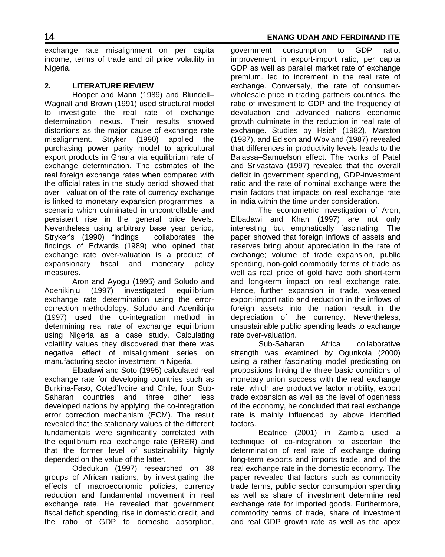exchange rate misalignment on per capita income, terms of trade and oil price volatility in Nigeria.

# **2. LITERATURE REVIEW**

Hooper and Mann (1989) and Blundell– Wagnall and Brown (1991) used structural model to investigate the real rate of exchange determination nexus. Their results showed distortions as the major cause of exchange rate misalignment. Stryker (1990) applied the purchasing power parity model to agricultural export products in Ghana via equilibrium rate of exchange determination. The estimates of the real foreign exchange rates when compared with the official rates in the study period showed that over –valuation of the rate of currency exchange is linked to monetary expansion programmes– a scenario which culminated in uncontrollable and persistent rise in the general price levels. Nevertheless using arbitrary base year period, Stryker's (1990) findings collaborates the findings of Edwards (1989) who opined that exchange rate over-valuation is a product of expansionary fiscal and monetary policy measures.

Aron and Ayogu (1995) and Soludo and Adenikinju (1997) investigated equilibrium exchange rate determination using the error correction methodology. Soludo and Adenikinju (1997) used the co-integration method in determining real rate of exchange equilibrium using Nigeria as a case study. Calculating volatility values they discovered that there was negative effect of misalignment series on manufacturing sector investment in Nigeria.

Elbadawi and Soto (1995) calculated real exchange rate for developing countries such as Burkina-Faso, Coted'Ivoire and Chile, four Sub- Saharan countries and three other less developed nations by applying the co-integration error correction mechanism (ECM). The result revealed that the stationary values of the different fundamentals were significantly correlated with the equilibrium real exchange rate (ERER) and that the former level of sustainability highly depended on the value of the latter.

Odedukun (1997) researched on 38 groups of African nations, by investigating the effects of macroeconomic policies, currency reduction and fundamental movement in real exchange rate. He revealed that government fiscal deficit spending, rise in domestic credit, and the ratio of GDP to domestic absorption,

# **14 ENANG UDAH AND FERDINAND ITE**

government consumption to GDP ratio, improvement in export-import ratio, per capita GDP as well as parallel market rate of exchange premium. led to increment in the real rate of exchange. Conversely, the rate of consumer wholesale price in trading partners countries, the ratio of investment to GDP and the frequency of devaluation and advanced nations economic growth culminate in the reduction in real rate of exchange. Studies by Hsieh (1982), Marston (1987), and Edison and Wovland (1987) revealed that differences in productivity levels leads to the Balassa–Samuelson effect. The works of Patel and Srivastava (1997) revealed that the overall deficit in government spending, GDP-investment ratio and the rate of nominal exchange were the main factors that impacts on real exchange rate in India within the time under consideration.

The econometric investigation of Aron, Elbadawi and Khan (1997) are not only interesting but emphatically fascinating. The paper showed that foreign inflows of assets and reserves bring about appreciation in the rate of exchange; volume of trade expansion, public spending, non-gold commodity terms of trade as well as real price of gold have both short-term and long-term impact on real exchange rate. Hence, further expansion in trade, weakened export-import ratio and reduction in the inflows of foreign assets into the nation result in the depreciation of the currency. Nevertheless, unsustainable public spending leads to exchange rate over-valuation.

Sub-Saharan Africa collaborative strength was examined by Ogunkola (2000) using a rather fascinating model predicating on propositions linking the three basic conditions of monetary union success with the real exchange rate, which are productive factor mobility, export trade expansion as well as the level of openness of the economy, he concluded that real exchange rate is mainly influenced by above identified factors.

Beatrice (2001) in Zambia used a technique of co-integration to ascertain the determination of real rate of exchange during long-term exports and imports trade, and of the real exchange rate in the domestic economy. The paper revealed that factors such as commodity trade terms, public sector consumption spending as well as share of investment determine real exchange rate for imported goods. Furthermore, commodity terms of trade, share of investment and real GDP growth rate as well as the apex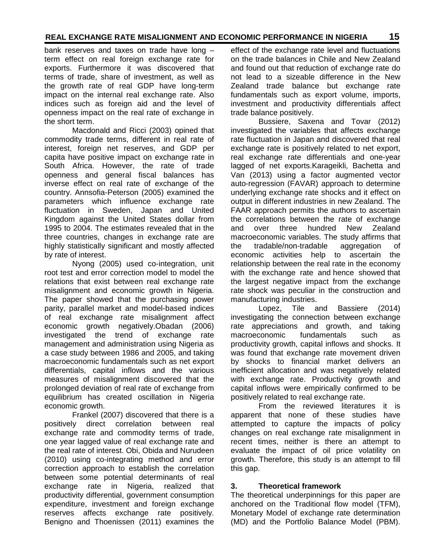# **REAL EXCHANGE RATE MISALIGNMENT AND ECONOMIC PERFORMANCE IN NIGERIA 15**

bank reserves and taxes on trade have long – term effect on real foreign exchange rate for exports. Furthermore it was discovered that terms of trade, share of investment, as well as the growth rate of real GDP have long-term impact on the internal real exchange rate. Also indices such as foreign aid and the level of openness impact on the real rate of exchange in the short term.

Macdonald and Ricci (2003) opined that commodity trade terms, different in real rate of interest, foreign net reserves, and GDP per capita have positive impact on exchange rate in South Africa. However, the rate of trade openness and general fiscal balances has inverse effect on real rate of exchange of the country. Annsofia-Peterson (2005) examined the parameters which influence exchange rate fluctuation in Sweden, Japan and United Kingdom against the United States dollar from 1995 to 2004. The estimates revealed that in the three countries, changes in exchange rate are highly statistically significant and mostly affected by rate of interest.

Nyong (2005) used co-integration, unit root test and error correction model to model the relations that exist between real exchange rate misalignment and economic growth in Nigeria. The paper showed that the purchasing power parity, parallel market and model-based indices of real exchange rate misalignment affect economic growth negatively.Obadan (2006) investigated the trend of exchange rate management and administration using Nigeria as a case study between 1986 and 2005, and taking macroeconomic fundamentals such as net export differentials, capital inflows and the various measures of misalignment discovered that the prolonged deviation of real rate of exchange from equilibrium has created oscillation in Nigeria economic growth.

Frankel (2007) discovered that there is a positively direct correlation between real exchange rate and commodity terms of trade, one year lagged value of real exchange rate and the real rate of interest. Obi, Obida and Nurudeen (2010) using co-integrating method and error correction approach to establish the correlation between some potential determinants of real exchange rate in Nigeria, realized that productivity differential, government consumption expenditure, investment and foreign exchange reserves affects exchange rate positively. Benigno and Thoenissen (2011) examines the

effect of the exchange rate level and fluctuations on the trade balances in Chile and New Zealand and found out that reduction of exchange rate do not lead to a sizeable difference in the New Zealand trade balance but exchange rate fundamentals such as export volume, imports, investment and productivity differentials affect trade balance positively.

Bussiere, Saxena and Tovar (2012) investigated the variables that affects exchange rate fluctuation in Japan and discovered that real exchange rate is positively related to net export, real exchange rate differentials and one-year lagged of net exports.Karageikli, Bachetta and Van (2013) using a factor augmented vector auto-regression (FAVAR) approach to determine underlying exchange rate shocks and it effect on output in different industries in new Zealand. The FAAR approach permits the authors to ascertain the correlations between the rate of exchange over three hundred New Zealand macroeconomic variables. The study affirms that tradable/non-tradable aggregation of economic activities help to ascertain the relationship between the real rate in the economy with the exchange rate and hence showed that the largest negative impact from the exchange rate shock was peculiar in the construction and manufacturing industries.

Lopez, Tile and Bassiere (2014) investigating the connection between exchange rate appreciations and growth, and taking macroeconomic fundamentals such as productivity growth, capital inflows and shocks. It was found that exchange rate movement driven by shocks to financial market delivers an inefficient allocation and was negatively related with exchange rate. Productivity growth and capital inflows were empirically confirmed to be positively related to real exchange rate.

From the reviewed literatures it is apparent that none of these studies have attempted to capture the impacts of policy changes on real exchange rate misalignment in recent times, neither is there an attempt to evaluate the impact of oil price volatility on growth. Therefore, this study is an attempt to fill this gap.

### **3. Theoretical framework**

The theoretical underpinnings for this paper are anchored on the Traditional flow model (TFM), Monetary Model of exchange rate determination (MD) and the Portfolio Balance Model (PBM).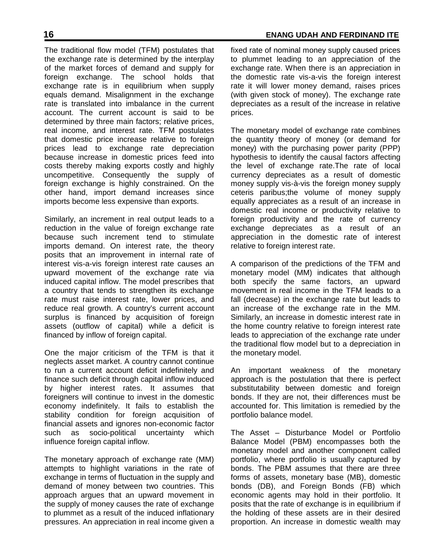The traditional flow model (TFM) postulates that the exchange rate is determined by the interplay of the market forces of demand and supply for foreign exchange. The school holds that exchange rate is in equilibrium when supply equals demand. Misalignment in the exchange rate is translated into imbalance in the current account. The current account is said to be determined by three main factors; relative prices, real income, and interest rate. TFM postulates that domestic price increase relative to foreign prices lead to exchange rate depreciation because increase in domestic prices feed into costs thereby making exports costly and highly uncompetitive. Consequently the supply of foreign exchange is highly constrained. On the other hand, import demand increases since imports become less expensive than exports.

Similarly, an increment in real output leads to a reduction in the value of foreign exchange rate because such increment tend to stimulate imports demand. On interest rate, the theory posits that an improvement in internal rate of interest vis-a-vis foreign interest rate causes an upward movement of the exchange rate via induced capital inflow. The model prescribes that a country that tends to strengthen its exchange rate must raise interest rate, lower prices, and reduce real growth. A country's current account surplus is financed by acquisition of foreign assets (outflow of capital) while a deficit is financed by inflow of foreign capital.

One the major criticism of the TFM is that it neglects asset market. A country cannot continue to run a current account deficit indefinitely and finance such deficit through capital inflow induced by higher interest rates. It assumes that foreigners will continue to invest in the domestic economy indefinitely. It fails to establish the stability condition for foreign acquisition of financial assets and ignores non-economic factor such as socio-political uncertainty which influence foreign capital inflow.

The monetary approach of exchange rate (MM) attempts to highlight variations in the rate of exchange in terms of fluctuation in the supply and demand of money between two countries. This approach argues that an upward movement in the supply of money causes the rate of exchange to plummet as a result of the induced inflationary pressures. An appreciation in real income given a fixed rate of nominal money supply caused prices to plummet leading to an appreciation of the exchange rate. When there is an appreciation in the domestic rate vis-a-vis the foreign interest rate it will lower money demand, raises prices (with given stock of money). The exchange rate depreciates as a result of the increase in relative prices.

The monetary model of exchange rate combines the quantity theory of money (or demand for money) with the purchasing power parity (PPP) hypothesis to identify the causal factors affecting the level of exchange rate.The rate of local currency depreciates as a result of domestic money supply vis-à-vis the foreign money supply ceteris paribus;the volume of money supply equally appreciates as a result of an increase in domestic real income or productivity relative to foreign productivity and the rate of currency exchange depreciates as a result of an appreciation in the domestic rate of interest relative to foreign interest rate.

A comparison of the predictions of the TFM and monetary model (MM) indicates that although both specify the same factors, an upward movement in real income in the TFM leads to a fall (decrease) in the exchange rate but leads to an increase of the exchange rate in the MM. Similarly, an increase in domestic interest rate in the home country relative to foreign interest rate leads to appreciation of the exchange rate under the traditional flow model but to a depreciation in the monetary model.

An important weakness of the monetary approach is the postulation that there is perfect substitutability between domestic and foreign bonds. If they are not, their differences must be accounted for. This limitation is remedied by the portfolio balance model.

The Asset – Disturbance Model or Portfolio Balance Model (PBM) encompasses both the monetary model and another component called portfolio, where portfolio is usually captured by bonds. The PBM assumes that there are three forms of assets, monetary base (MB), domestic bonds (DB), and Foreign Bonds (FB) which economic agents may hold in their portfolio. It posits that the rate of exchange is in equilibrium if the holding of these assets are in their desired proportion. An increase in domestic wealth may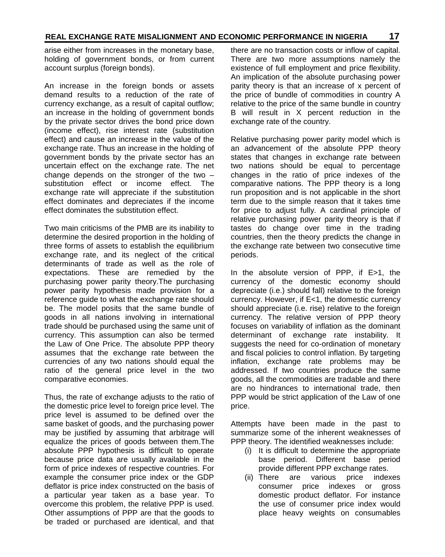# **REAL EXCHANGE RATE MISALIGNMENT AND ECONOMIC PERFORMANCE IN NIGERIA 17**

arise either from increases in the monetary base, holding of government bonds, or from current account surplus (foreign bonds).

An increase in the foreign bonds or assets demand results to a reduction of the rate of currency exchange, as a result of capital outflow; an increase in the holding of government bonds by the private sector drives the bond price down (income effect), rise interest rate (substitution effect) and cause an increase in the value of the exchange rate. Thus an increase in the holding of government bonds by the private sector has an uncertain effect on the exchange rate. The net change depends on the stronger of the two  $$ substitution effect or income effect. The exchange rate will appreciate if the substitution effect dominates and depreciates if the income effect dominates the substitution effect.

Two main criticisms of the PMB are its inability to determine the desired proportion in the holding of three forms of assets to establish the equilibrium exchange rate, and its neglect of the critical determinants of trade as well as the role of expectations. These are remedied by the purchasing power parity theory.The purchasing power parity hypothesis made provision for a reference guide to what the exchange rate should be. The model posits that the same bundle of goods in all nations involving in international trade should be purchased using the same unit of currency. This assumption can also be termed the Law of One Price. The absolute PPP theory assumes that the exchange rate between the currencies of any two nations should equal the ratio of the general price level in the two comparative economies.

Thus, the rate of exchange adjusts to the ratio of the domestic price level to foreign price level. The price level is assumed to be defined over the same basket of goods, and the purchasing power may be justified by assuming that arbitrage will equalize the prices of goods between them.The absolute PPP hypothesis is difficult to operate because price data are usually available in the form of price indexes of respective countries. For example the consumer price index or the GDP (ii) There deflator is price index constructed on the basis of a particular year taken as a base year. To overcome this problem, the relative PPP is used. Other assumptions of PPP are that the goods to be traded or purchased are identical, and that

there are no transaction costs or inflow of capital. There are two more assumptions namely the existence of full employment and price flexibility. An implication of the absolute purchasing power parity theory is that an increase of x percent of the price of bundle of commodities in country A relative to the price of the same bundle in country B will result in X percent reduction in the exchange rate of the country.

Relative purchasing power parity model which is an advancement of the absolute PPP theory states that changes in exchange rate between two nations should be equal to percentage changes in the ratio of price indexes of the comparative nations. The PPP theory is a long run proposition and is not applicable in the short term due to the simple reason that it takes time for price to adjust fully. A cardinal principle of relative purchasing power parity theory is that if tastes do change over time in the trading countries, then the theory predicts the change in the exchange rate between two consecutive time periods.

In the absolute version of PPP, if E>1, the currency of the domestic economy should depreciate (i.e.) should fall) relative to the foreign currency. However, if E<1, the domestic currency should appreciate (i.e. rise) relative to the foreign currency. The relative version of PPP theory focuses on variability of inflation as the dominant determinant of exchange rate instability. It suggests the need for co-ordination of monetary and fiscal policies to control inflation. By targeting inflation, exchange rate problems may be addressed. If two countries produce the same goods, all the commodities are tradable and there are no hindrances to international trade, then PPP would be strict application of the Law of one price.

Attempts have been made in the past to summarize some of the inherent weaknesses of PPP theory. The identified weaknesses include:

- (i) It is difficult to determine the appropriate base period. Different base period provide different PPP exchange rates.
- are various price indexes consumer price indexes or gross domestic product deflator. For instance the use of consumer price index would place heavy weights on consumables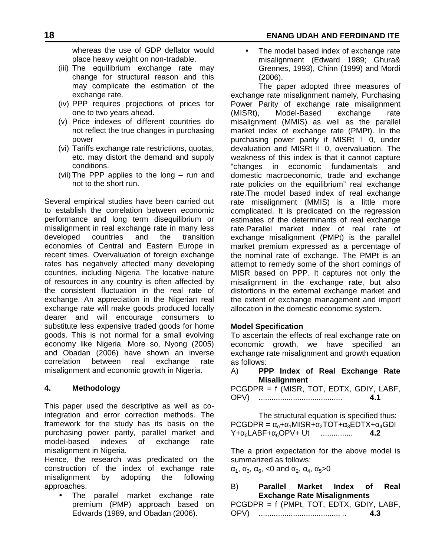whereas the use of GDP deflator would  $\bullet$ place heavy weight on non-tradable.

- (iii) The equilibrium exchange rate may change for structural reason and this may complicate the estimation of the exchange rate.
- (iv) PPP requires projections of prices for one to two years ahead.
- (v) Price indexes of different countries do not reflect the true changes in purchasing power
- (vi) Tariffs exchange rate restrictions, quotas, etc. may distort the demand and supply conditions.
- (vii) The PPP applies to the long run and not to the short run.

Several empirical studies have been carried out to establish the correlation between economic performance and long term disequilibrium or misalignment in real exchange rate in many less developed countries and the transition economies of Central and Eastern Europe in recent times. Overvaluation of foreign exchange rates has negatively affected many developing countries, including Nigeria. The locative nature of resources in any country is often affected by the consistent fluctuation in the real rate of exchange. An appreciation in the Nigerian real exchange rate will make goods produced locally dearer and will encourage consumers to substitute less expensive traded goods for home goods. This is not normal for a small evolving economy like Nigeria. More so, Nyong (2005) and Obadan (2006) have shown an inverse correlation between real exchange rate misalignment and economic growth in Nigeria.

### **4. Methodology**

This paper used the descriptive as well as cointegration and error correction methods. The framework for the study has its basis on the purchasing power parity, parallel market and model-based indexes of exchange rate misalignment in Nigeria.

Hence, the research was predicated on the construction of the index of exchange rate misalignment by adopting the following approaches.

 The parallel market exchange rate premium (PMP) approach based on Edwards (1989, and Obadan (2006).

 The model based index of exchange rate misalignment (Edward 1989; Ghura& Grennes, 1993), Chinn (1999) and Mordi (2006).

The paper adopted three measures of exchange rate misalignment namely, Purchasing Power Parity of exchange rate misalignment (MISRt), Model-Based exchange rate misalignment (MMIS) as well as the parallel market index of exchange rate (PMPt). In the purchasing power parity if MISRt ˃ 0, under devaluation and MISRt 0, overvaluation. The weakness of this index is that it cannot capture "changes in economic fundamentals and domestic macroeconomic, trade and exchange rate policies on the equilibrium" real exchange rate.The model based index of real exchange rate misalignment (MMIS) is a little more complicated. It is predicated on the regression estimates of the determinants of real exchange rate.Parallel market index of real rate of exchange misalignment (PMPt) is the parallel market premium expressed as a percentage of the nominal rate of exchange. The PMPt is an attempt to remedy some of the short comings of MISR based on PPP. It captures not only the misalignment in the exchange rate, but also distortions in the external exchange market and the extent of exchange management and import allocation in the domestic economic system.

#### **Model Specification**

To ascertain the effects of real exchange rate on economic growth, we have specified an exchange rate misalignment and growth equation as follows:

#### A) **PPP Index of Real Exchange Rate Misalignment**

PCGDPR = f (MISR, TOT, EDTX, GDIY, LABF, OPV) ....................................... **4.1**

|  | The structural equation is specified thus:                           |  |
|--|----------------------------------------------------------------------|--|
|  | $PCGDPR =$ $_{0}$ + $_{1}$ MISR+ $_{2}$ TOT+ $_{3}$ EDTX+ $_{4}$ GDI |  |
|  | 4.2                                                                  |  |

The a priori expectation for the above model is summarized as follows:

 $_1$ ,  $_3$ ,  $_6$ , <0 and  $_2$ ,  $_4$ ,  $_5$ >0

# B) **Parallel Market Index of Real Exchange Rate Misalignments**

|      | PCGDPR = f (PMPt, TOT, EDTX, GDIY, LABF, |  |
|------|------------------------------------------|--|
| OPV) |                                          |  |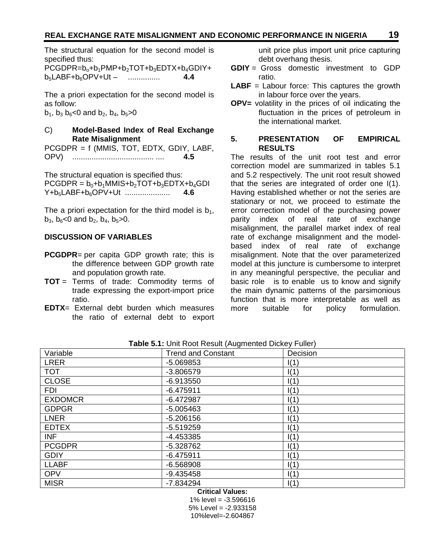The structural equation for the second model is specified thus:

PCGDPR=b<sub>o</sub>+b<sub>1</sub>PMP+b<sub>2</sub>TOT+b<sub>3</sub>EDTX+b<sub>4</sub>GDIY+<br>beLABF+beOPV+Ut – ………………………**4.4** b5LABF+b6OPV+Ut – ............... **4.4**

The a priori expectation for the second model is as follow:

 $b_1$ ,  $b_3$   $b_6$ <0 and  $b_2$ ,  $b_4$ ,  $b_5$ >0

#### C) **Model-Based Index of Real Exchange Rate Misalignment**

PCGDPR = f (MMIS, TOT, EDTX, GDIY, LABF, OPV) ...................................... .... **4.5**

The structural equation is specified thus:  $PCGDPR = b<sub>0</sub>+b<sub>1</sub>MMIS+b<sub>2</sub>TOT+b<sub>3</sub>EDTX+b<sub>4</sub>GDI$ Y+b5LABF+b6OPV+Ut ..................... **4.6**

The a priori expectation for the third model is  $b_1$ ,  $b_3$ ,  $b_6$ <0 and  $b_2$ ,  $b_4$ ,  $b_5$ >0.

#### **DISCUSSION OF VARIABLES**

- **PCGDPR**= per capita GDP growth rate; this is the difference between GDP growth rate and population growth rate.
- **TOT** = Terms of trade: Commodity terms of trade expressing the export-import price ratio.
- **EDTX**= External debt burden which measures the ratio of external debt to export

unit price plus import unit price capturing debt overhang thesis.

- **GDIY** = Gross domestic investment to GDP ratio.
- **LABF** = Labour force: This captures the growth in labour force over the years.
- **OPV**= volatility in the prices of oil indicating the fluctuation in the prices of petroleum in the international market.

#### **5. PRESENTATION OF EMPIRICAL RESULTS**

The results of the unit root test and error correction model are summarized in tables 5.1 and 5.2 respectively. The unit root result showed that the series are integrated of order one I(1). Having established whether or not the series are stationary or not, we proceed to estimate the error correction model of the purchasing power parity index of real rate of exchange misalignment, the parallel market index of real rate of exchange misalignment and the model based index of real rate of exchange misalignment. Note that the over parameterized model at this juncture is cumbersome to interpret in any meaningful perspective, the peculiar and basic role is to enable us to know and signify the main dynamic patterns of the parsimonious function that is more interpretable as well as suitable for policy formulation.

| Variable       | <b>Trend and Constant</b> | Decision |
|----------------|---------------------------|----------|
| <b>LRER</b>    | $-5.069853$               | I(1)     |
| <b>TOT</b>     | $-3.806579$               | I(1)     |
| <b>CLOSE</b>   | $-6.913550$               | I(1)     |
| <b>FDI</b>     | $-6.475911$               | I(1)     |
| <b>EXDOMCR</b> | $-6.472987$               | I(1)     |
| <b>GDPGR</b>   | $-5.005463$               | I(1)     |
| <b>LNER</b>    | $-5.206156$               | I(1)     |
| <b>EDTEX</b>   | $-5.519259$               | I(1)     |
| <b>INF</b>     | -4.453385                 | I(1)     |
| <b>PCGDPR</b>  | $-5.328762$               | I(1)     |
| <b>GDIY</b>    | $-6.475911$               | I(1)     |
| <b>LLABF</b>   | $-6.568908$               | I(1)     |
| <b>OPV</b>     | $-9.435458$               | I(1)     |
| <b>MISR</b>    | -7.834294                 | I(1)     |

**Table 5.1:** Unit Root Result (Augmented Dickey Fuller)

**Critical Values:** 1% level = -3.596616

5% Level = -2.933158 10%level=-2.604867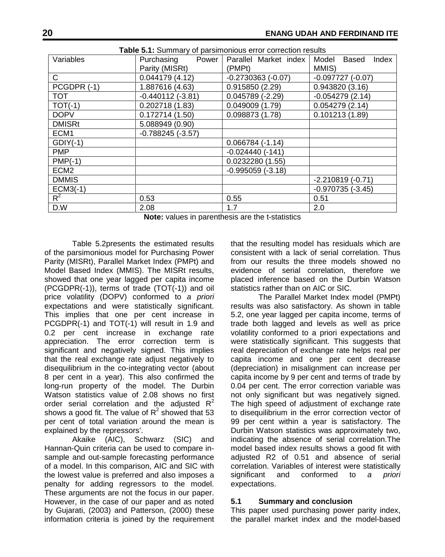| Variables        | <b>I able 5.1:</b> Summary or parsimonious error correction results<br>Purchasing<br>Power | Parallel Market index  | Model<br>Based<br>Index |
|------------------|--------------------------------------------------------------------------------------------|------------------------|-------------------------|
|                  | Parity (MISRt)                                                                             | (PMPt)                 | MMIS)                   |
| $\mathsf{C}$     | 0.044179(4.12)                                                                             | $-0.2730363(-0.07)$    | $-0.097727$ $(-0.07)$   |
| PCGDPR (-1)      | 1.887616 (4.63)                                                                            | 0.915850(2.29)         | 0.943820(3.16)          |
| <b>TOT</b>       | $-0.440112$ $(-3.81)$                                                                      | $0.045789$ (-2.29)     | $-0.054279(2.14)$       |
| $TOT(-1)$        | 0.202718(1.83)                                                                             | 0.049009(1.79)         | 0.054279(2.14)          |
| <b>DOPV</b>      | 0.172714(1.50)                                                                             | 0.098873(1.78)         | 0.101213(1.89)          |
| <b>DMISRt</b>    | 5.088949 (0.90)                                                                            |                        |                         |
| ECM <sub>1</sub> | $-0.788245(-3.57)$                                                                         |                        |                         |
| $GDIY(-1)$       |                                                                                            | $0.066784$ (-1.14)     |                         |
| <b>PMP</b>       |                                                                                            | $-0.024440$ ( $-141$ ) |                         |
| $PMP(-1)$        |                                                                                            | 0.0232280(1.55)        |                         |
| ECM <sub>2</sub> |                                                                                            | $-0.995059(-3.18)$     |                         |
| <b>DMMIS</b>     |                                                                                            |                        | $-2.210819(-0.71)$      |
| $ECM3(-1)$       |                                                                                            |                        | $-0.970735$ $(-3.45)$   |
| $R^2$            | 0.53                                                                                       | 0.55                   | 0.51                    |
| D.W              | 2.08                                                                                       | 1.7                    | 2.0                     |

|  |  | Table 5.1: Summary of parsimonious error correction results |  |
|--|--|-------------------------------------------------------------|--|
|--|--|-------------------------------------------------------------|--|

**Note:** values in parenthesis are the t-statistics

Table 5.2presents the estimated results of the parsimonious model for Purchasing Power Parity (MISRt), Parallel Market Index (PMPt) and Model Based Index (MMIS). The MISRt results, showed that one year lagged per capita income (PCGDPR(-1)), terms of trade (TOT(-1)) and oil price volatility (DOPV) conformed to *a priori* expectations and were statistically significant. This implies that one per cent increase in PCGDPR(-1) and TOT(-1) will result in 1.9 and 0.2 per cent increase in exchange rate appreciation. The error correction term is significant and negatively signed. This implies that the real exchange rate adjust negatively to disequilibrium in the co-integrating vector (about 8 per cent in a year). This also confirmed the long-run property of the model. The Durbin Watson statistics value of 2.08 shows no first order serial correlation and the adjusted  $R^2$ shows a good fit. The value of  $R^2$  showed that 53 per cent of total variation around the mean is explained by the repressors'.

Akaike (AIC), Schwarz (SIC) and Hannan-Quin criteria can be used to compare in sample and out-sample forecasting performance of a model. In this comparison, AIC and SIC with the lowest value is preferred and also imposes a penalty for adding regressors to the model. These arguments are not the focus in our paper. However, in the case of our paper and as noted 5.1 by Gujarati, (2003) and Patterson, (2000) these information criteria is joined by the requirement

that the resulting model has residuals which are consistent with a lack of serial correlation. Thus from our results the three models showed no evidence of serial correlation, therefore we placed inference based on the Durbin Watson statistics rather than on AIC or SIC.

The Parallel Market Index model (PMPt) results was also satisfactory. As shown in table 5.2, one year lagged per capita income, terms of trade both lagged and levels as well as price volatility conformed to a priori expectations and were statistically significant. This suggests that real depreciation of exchange rate helps real per capita income and one per cent decrease (depreciation) in misalignment can increase per capita income by 9 per cent and terms of trade by 0.04 per cent. The error correction variable was not only significant but was negatively signed. The high speed of adjustment of exchange rate to disequilibrium in the error correction vector of 99 per cent within a year is satisfactory. The Durbin Watson statistics was approximately two, indicating the absence of serial correlation.The model based index results shows a good fit with adjusted R2 of 0.51 and absence of serial correlation. Variables of interest were statistically significant and conformed to *a priori* expectations.

### **5.1 Summary and conclusion**

This paper used purchasing power parity index, the parallel market index and the model-based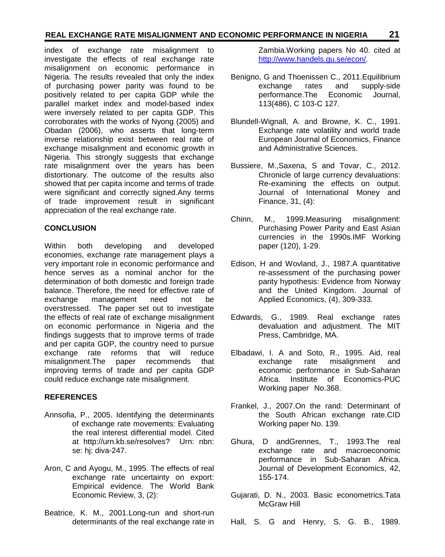index of exchange rate misalignment to investigate the effects of real exchange rate misalignment on economic performance in Nigeria. The results revealed that only the index of purchasing power parity was found to be positively related to per capita GDP while the parallel market index and model-based index were inversely related to per capita GDP. This corroborates with the works of Nyong (2005) and Obadan (2006), who asserts that long-term inverse relationship exist between real rate of exchange misalignment and economic growth in Nigeria. This strongly suggests that exchange rate misalignment over the years has been distortionary. The outcome of the results also showed that per capita income and terms of trade were significant and correctly signed.Any terms of trade improvement result in significant appreciation of the real exchange rate.

### **CONCLUSION**

Within both developing and developed economies, exchange rate management plays a very important role in economic performance and hence serves as a nominal anchor for the determination of both domestic and foreign trade balance. Therefore, the need for effective rate of exchange management need not be overstressed. The paper set out to investigate the effects of real rate of exchange misalignment on economic performance in Nigeria and the findings suggests that to improve terms of trade and per capita GDP, the country need to pursue exchange rate reforms that will reduce misalignment.The paper recommends that improving terms of trade and per capita GDP could reduce exchange rate misalignment.

### **REFERENCES**

- Annsofia, P., 2005. Identifying the determinants of exchange rate movements: Evaluating the real interest differential model. Cited at http://urn.kb.se/resolves? Urn: nbn: se: hj: diva-247.
- Aron, C and Ayogu, M., 1995. The effects of real exchange rate uncertainty on export: Empirical evidence. The World Bank Economic Review, 3, (2):
- Beatrice, K. M., 2001.Long-run and short-run determinants of the real exchange rate in

Zambia.Working papers No 40. cited at http://www.handels.gu.se/econ/*.*

- Benigno, G and Thoenissen C., 2011.Equilibrium exchange rates and supply-side performance.The Economic Journal, 113(486), C 103-C 127.
- Blundell-Wignall, A. and Browne, K. C., 1991. Exchange rate volatility and world trade European Journal of Economics, Finance and Administrative Sciences.
- Bussiere, M.,Saxena, S and Tovar, C., 2012. Chronicle of large currency devaluations: Re-examining the effects on output. Journal of International Money and Finance, 31, (4):
- Chinn, M., 1999.Measuring misalignment: Purchasing Power Parity and East Asian currencies in the 1990s.IMF Working paper (120), 1-29.
- Edison, H and Wovland, J., 1987.A quantitative re-assessment of the purchasing power parity hypothesis: Evidence from Norway and the United Kingdom. Journal of Applied Economics, (4), 309-333.
- Edwards, G., 1989. Real exchange rates devaluation and adjustment. The MIT Press, Cambridge, MA.
- Elbadawi, I. A and Soto, R., 1995. Aid, real exchange rate misalignment and economic performance in Sub-Saharan Africa. Institute of Economics-PUC Working paper No.368.
- Frankel, J., 2007.On the rand: Determinant of the South African exchange rate.CID Working paper No. 139.
- Ghura, D andGrennes, T., 1993.The real exchange rate and macroeconomic performance in Sub-Saharan Africa. Journal of Development Economics, 42, 155-174.
- Gujarati, D. N., 2003. Basic econometrics.Tata McGraw Hill
- Hall, S. G and Henry, S. G. B., 1989.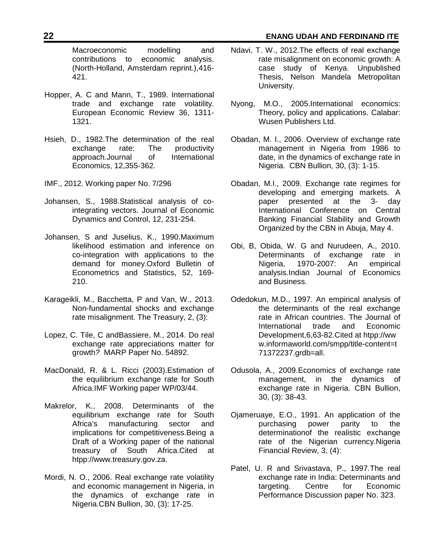### **22 ENANG UDAH AND FERDINAND ITE**

Macroeconomic modelling and contributions to economic analysis. (North-Holland, Amsterdam reprint.),416- 421.

- Hopper, A. C and Mann, T., 1989. International trade and exchange rate volatility. European Economic Review 36, 1311- 1321.
- Hsieh, D., 1982.The determination of the real exchange rate: The productivity<br>approach.Journal of International approach.Journal Economics, 12,355-362.
- IMF., 2012. Working paper No. 7/296
- Johansen, S., 1988.Statistical analysis of cointegrating vectors. Journal of Economic Dynamics and Control, 12, 231-254.
- Johansen, S and Juselius, K., 1990.Maximum likelihood estimation and inference on co-integration with applications to the demand for money.Oxford Bulletin of Econometrics and Statistics, 52, 169- 210.
- Karageikli, M., Bacchetta, P and Van, W., 2013. Non-fundamental shocks and exchange rate misalignment. The Treasury, 2, (3):
- Lopez, C. Tile, C andBassiere, M., 2014. Do real exchange rate appreciations matter for growth*?* MARP Paper No. 54892.
- MacDonald, R. & L. Ricci (2003).Estimation of the equilibrium exchange rate for South Africa.IMF Working paper WP/03/44.
- Makrelor, K., 2008. Determinants of the equilibrium exchange rate for South Africa's manufacturing sector and implications for competitiveness.Being a Draft of a Working paper of the national treasury of South Africa.Cited at htpp://www.treasury.gov.za.
- Mordi, N. O., 2006. Real exchange rate volatility and economic management in Nigeria, in the dynamics of exchange rate in Nigeria.CBN Bullion, 30, (3): 17-25.
- Ndavi, T. W., 2012.The effects of real exchange rate misalignment on economic growth: A case study of Kenya. Unpublished Thesis, Nelson Mandela Metropolitan University.
- Nyong, M.O., 2005.International economics: Theory, policy and applications. Calabar: Wusen Publishers Ltd.
- Obadan, M. I., 2006. Overview of exchange rate management in Nigeria from 1986 to date, in the dynamics of exchange rate in Nigeria. CBN Bullion, 30, (3): 1-15.
- Obadan, M.I., 2009. Exchange rate regimes for developing and emerging markets. A paper presented at the 3- day International Conference on Central Banking Financial Stability and Growth Organized by the CBN in Abuja, May 4.
- Obi, B, Obida, W. G and Nurudeen, A., 2010. Determinants of exchange rate in Nigeria, 1970-2007: An empirical analysis.Indian Journal of Economics and Business.
- Odedokun, M.D., 1997. An empirical analysis of the determinants of the real exchange rate in African countries. The Journal of International trade and Economic Development,6,63-82.Cited at htpp://ww w.informaworld.com/smpp/title-content=t 71372237.grdb=all.
- Odusola, A., 2009.Economics of exchange rate management, in the dynamics of exchange rate in Nigeria. CBN Bullion, 30, (3): 38-43.
- Ojameruaye, E.O., 1991. An application of the purchasing power parity to the determinationof the realistic exchange rate of the Nigerian currency.Nigeria Financial Review, 3, (4):
- Patel, U. R and Srivastava, P., 1997.The real exchange rate in India: Determinants and targeting. Centre for Economic Performance Discussion paper No. 323.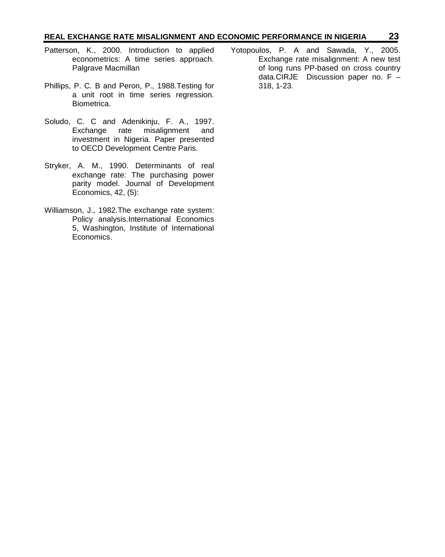# **REAL EXCHANGE RATE MISALIGNMENT AND ECONOMIC PERFORMANCE IN NIGERIA 23**

- Patterson, K., 2000. Introduction to applied econometrics: A time series approach. Palgrave Macmillan
- Phillips, P. C. B and Peron, P., 1988.Testing for a unit root in time series regression*.* Biometrica.
- Soludo, C. C and Adenikinju, F. A., 1997. Exchange rate misalignment and investment in Nigeria. Paper presented to OECD Development Centre Paris.
- Stryker, A. M., 1990. Determinants of real exchange rate: The purchasing power parity model. Journal of Development Economics, 42, (5):
- Williamson, J., 1982.The exchange rate system: Policy analysis.International Economics 5, Washington, Institute of International Economics.

Yotopoulos, P. A and Sawada, Y., 2005. Exchange rate misalignment: A new test of long runs PP-based on cross country data.CIRJE Discussion paper no. F – 318, 1-23.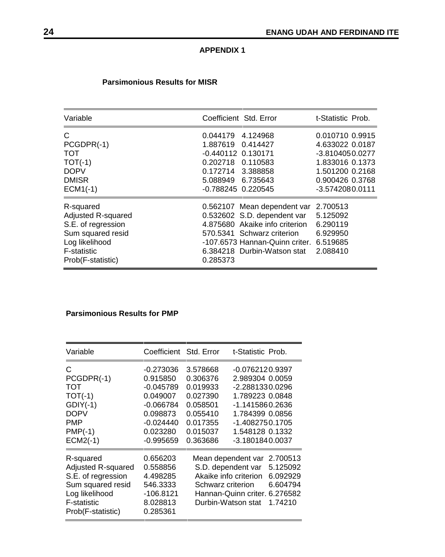# **APPENDIX 1**

| Variable                                                                                                                                | Coefficient Std. Error                                                                                                                                                                                                    | t-Statistic Prob.                                                                                                                 |
|-----------------------------------------------------------------------------------------------------------------------------------------|---------------------------------------------------------------------------------------------------------------------------------------------------------------------------------------------------------------------------|-----------------------------------------------------------------------------------------------------------------------------------|
| C<br>PCGDPR(-1)<br>TOT<br>$TOT(-1)$<br><b>DOPV</b><br><b>DMISR</b><br>$ECM1(-1)$                                                        | 0.044179<br>4.124968<br>1.887619<br>0.414427<br>-0.440112 0.130171<br>0.202718<br>0.110583<br>0.172714 3.388858<br>5.088949 6.735643<br>$-0.788245$ 0.220545                                                              | 0.010710 0.9915<br>4.633022 0.0187<br>-3.8104050.0277<br>1.833016 0.1373<br>1.501200 0.2168<br>0.900426 0.3768<br>-3.5742080.0111 |
| R-squared<br>Adjusted R-squared<br>S.E. of regression<br>Sum squared resid<br>Log likelihood<br><b>F-statistic</b><br>Prob(F-statistic) | 0.562107 Mean dependent var 2.700513<br>0.532602 S.D. dependent var<br>4.875680 Akaike info criterion<br>570.5341 Schwarz criterion<br>-107.6573 Hannan-Quinn criter. 6.519685<br>6.384218 Durbin-Watson stat<br>0.285373 | 5.125092<br>6.290119<br>6.929950<br>2.088410                                                                                      |

# **Parsimonious Results for MISR**

# **Parsimonious Results for PMP**

| Variable                                                                                                                                | Coefficient Std. Error                                                                                          |                                                                                                          | t-Statistic Prob.                                                                                                                                                       |                                                         |
|-----------------------------------------------------------------------------------------------------------------------------------------|-----------------------------------------------------------------------------------------------------------------|----------------------------------------------------------------------------------------------------------|-------------------------------------------------------------------------------------------------------------------------------------------------------------------------|---------------------------------------------------------|
| С<br>PCGDPR(-1)<br>тот<br>$TOT(-1)$<br>$GDIY(-1)$<br><b>DOPV</b><br><b>PMP</b><br>$PMP(-1)$<br>$ECM2(-1)$                               | -0.273036<br>0.915850<br>-0.045789<br>0.049007<br>$-0.066784$<br>0.098873<br>-0.024440<br>0.023280<br>-0.995659 | 3.578668<br>0.306376<br>0.019933<br>0.027390<br>0.058501<br>0.055410<br>0.017355<br>0.015037<br>0.363686 | -0.0762120.9397<br>2.989304 0.0059<br>-2.2881330.0296<br>1.789223 0.0848<br>-1.1415860.2636<br>1.784399 0.0856<br>-1.4082750.1705<br>1.548128 0.1332<br>-3.1801840.0037 |                                                         |
| R-squared<br>Adjusted R-squared<br>S.E. of regression<br>Sum squared resid<br>Log likelihood<br><b>F-statistic</b><br>Prob(F-statistic) | 0.656203<br>0.558856<br>4.498285<br>546.3333<br>$-106.8121$<br>8.028813<br>0.285361                             | Mean dependent var<br>Durbin-Watson stat                                                                 | S.D. dependent var<br>Akaike info criterion<br>Schwarz criterion<br>Hannan-Quinn criter, 6.276582                                                                       | 2.700513<br>5.125092<br>6.092929<br>6.604794<br>1.74210 |